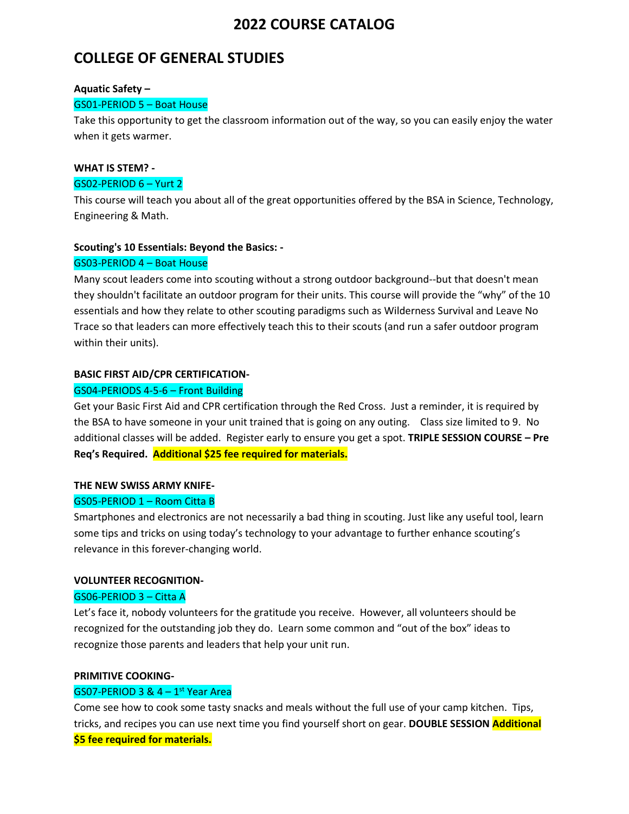## **COLLEGE OF GENERAL STUDIES**

#### **Aquatic Safety –**

### GS01-PERIOD 5 – Boat House

Take this opportunity to get the classroom information out of the way, so you can easily enjoy the water when it gets warmer.

## **WHAT IS STEM? -**

### GS02-PERIOD 6 – Yurt 2

This course will teach you about all of the great opportunities offered by the BSA in Science, Technology, Engineering & Math.

## **Scouting's 10 Essentials: Beyond the Basics: -**

### GS03-PERIOD 4 – Boat House

Many scout leaders come into scouting without a strong outdoor background--but that doesn't mean they shouldn't facilitate an outdoor program for their units. This course will provide the "why" of the 10 essentials and how they relate to other scouting paradigms such as Wilderness Survival and Leave No Trace so that leaders can more effectively teach this to their scouts (and run a safer outdoor program within their units).

### **BASIC FIRST AID/CPR CERTIFICATION-**

## GS04-PERIODS 4-5-6 – Front Building

Get your Basic First Aid and CPR certification through the Red Cross. Just a reminder, it is required by the BSA to have someone in your unit trained that is going on any outing. Class size limited to 9. No additional classes will be added. Register early to ensure you get a spot. **TRIPLE SESSION COURSE – Pre Req's Required. Additional \$25 fee required for materials.**

## **THE NEW SWISS ARMY KNIFE-**

## GS05-PERIOD 1 – Room Citta B

Smartphones and electronics are not necessarily a bad thing in scouting. Just like any useful tool, learn some tips and tricks on using today's technology to your advantage to further enhance scouting's relevance in this forever-changing world.

#### **VOLUNTEER RECOGNITION-**

#### GS06-PERIOD 3 – Citta A

Let's face it, nobody volunteers for the gratitude you receive. However, all volunteers should be recognized for the outstanding job they do. Learn some common and "out of the box" ideas to recognize those parents and leaders that help your unit run.

#### **PRIMITIVE COOKING-**

## $GSO7$ -PERIOD 3 &  $4-1$ <sup>st</sup> Year Area

Come see how to cook some tasty snacks and meals without the full use of your camp kitchen. Tips, tricks, and recipes you can use next time you find yourself short on gear. **DOUBLE SESSION Additional** 

#### **\$5 fee required for materials.**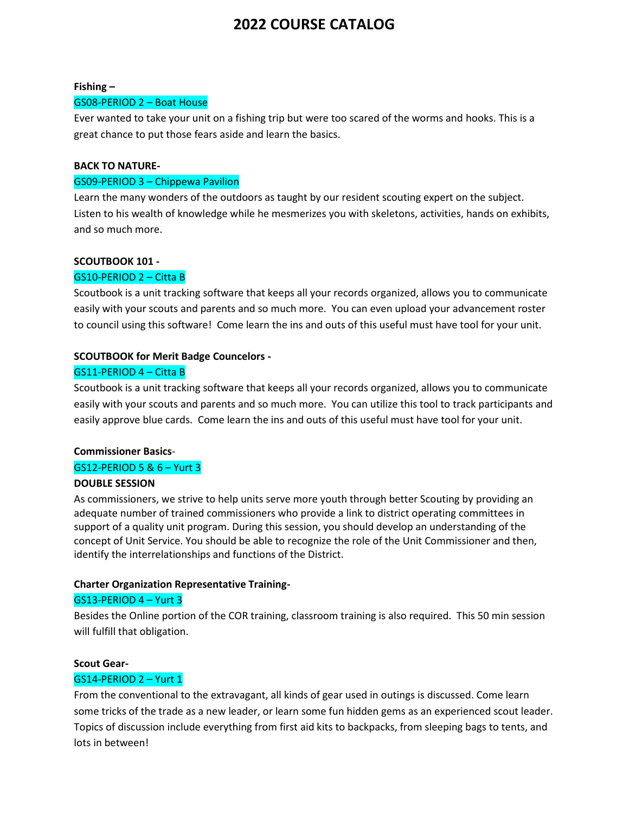#### **Fishing –**

#### GS08-PERIOD 2 – Boat House

Ever wanted to take your unit on a fishing trip but were too scared of the worms and hooks. This is a great chance to put those fears aside and learn the basics.

#### **BACK TO NATURE-**

#### GS09-PERIOD 3 – Chippewa Pavilion

Learn the many wonders of the outdoors as taught by our resident scouting expert on the subject. Listen to his wealth of knowledge while he mesmerizes you with skeletons, activities, hands on exhibits, and so much more.

### **SCOUTBOOK 101 -**

#### GS10-PERIOD 2 – Citta B

Scoutbook is a unit tracking software that keeps all your records organized, allows you to communicate easily with your scouts and parents and so much more. You can even upload your advancement roster to council using this software! Come learn the ins and outs of this useful must have tool for your unit.

#### **SCOUTBOOK for Merit Badge Councelors -**

### GS11-PERIOD 4 – Citta B

Scoutbook is a unit tracking software that keeps all your records organized, allows you to communicate easily with your scouts and parents and so much more. You can utilize this tool to track participants and easily approve blue cards. Come learn the ins and outs of this useful must have tool for your unit.

#### **Commissioner Basics**-

#### GS12-PERIOD 5 & 6 – Yurt 3

#### **DOUBLE SESSION**

As commissioners, we strive to help units serve more youth through better Scouting by providing an adequate number of trained commissioners who provide a link to district operating committees in support of a quality unit program. During this session, you should develop an understanding of the concept of Unit Service. You should be able to recognize the role of the Unit Commissioner and then, identify the interrelationships and functions of the District.

#### **Charter Organization Representative Training-**

#### GS13-PERIOD 4 – Yurt 3

Besides the Online portion of the COR training, classroom training is also required. This 50 min session will fulfill that obligation.

#### **Scout Gear-**

#### GS14-PERIOD 2 – Yurt 1

From the conventional to the extravagant, all kinds of gear used in outings is discussed. Come learn some tricks of the trade as a new leader, or learn some fun hidden gems as an experienced scout leader. Topics of discussion include everything from first aid kits to backpacks, from sleeping bags to tents, and lots in between!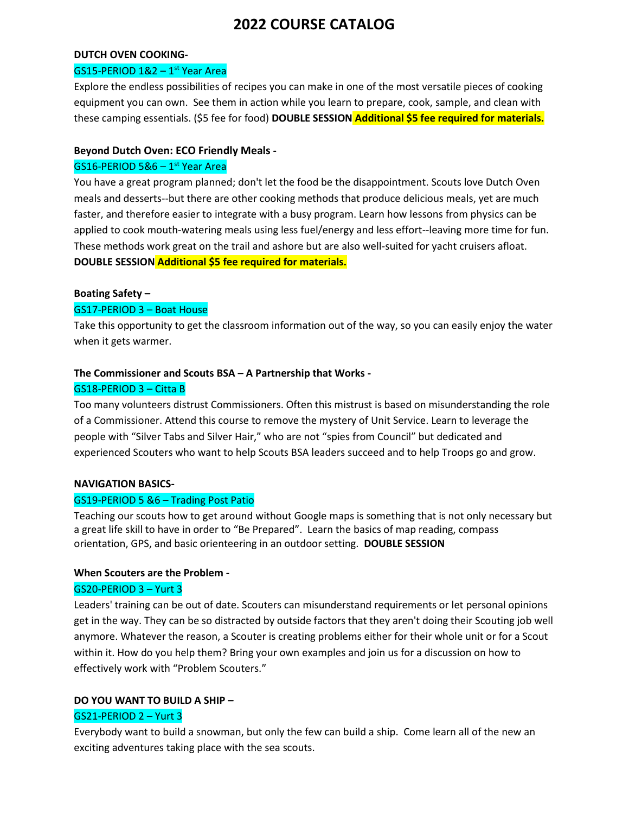#### **DUTCH OVEN COOKING-**

#### GS15-PERIOD 1&2 - 1<sup>st</sup> Year Area

Explore the endless possibilities of recipes you can make in one of the most versatile pieces of cooking equipment you can own. See them in action while you learn to prepare, cook, sample, and clean with these camping essentials. (\$5 fee for food) **DOUBLE SESSION Additional \$5 fee required for materials.** 

### **Beyond Dutch Oven: ECO Friendly Meals -**

## $GS16$ -PERIOD 5&6 –  $1<sup>st</sup>$  Year Area

You have a great program planned; don't let the food be the disappointment. Scouts love Dutch Oven meals and desserts--but there are other cooking methods that produce delicious meals, yet are much faster, and therefore easier to integrate with a busy program. Learn how lessons from physics can be applied to cook mouth-watering meals using less fuel/energy and less effort--leaving more time for fun. These methods work great on the trail and ashore but are also well-suited for yacht cruisers afloat. **DOUBLE SESSION Additional \$5 fee required for materials.** 

#### **Boating Safety –**

#### GS17-PERIOD 3 – Boat House

Take this opportunity to get the classroom information out of the way, so you can easily enjoy the water when it gets warmer.

### **The Commissioner and Scouts BSA – A Partnership that Works -**

#### GS18-PERIOD 3 – Citta B

Too many volunteers distrust Commissioners. Often this mistrust is based on misunderstanding the role of a Commissioner. Attend this course to remove the mystery of Unit Service. Learn to leverage the people with "Silver Tabs and Silver Hair," who are not "spies from Council" but dedicated and experienced Scouters who want to help Scouts BSA leaders succeed and to help Troops go and grow.

#### **NAVIGATION BASICS-**

#### GS19-PERIOD 5 &6 – Trading Post Patio

Teaching our scouts how to get around without Google maps is something that is not only necessary but a great life skill to have in order to "Be Prepared". Learn the basics of map reading, compass orientation, GPS, and basic orienteering in an outdoor setting. **DOUBLE SESSION**

#### **When Scouters are the Problem -**

#### GS20-PERIOD 3 – Yurt 3

Leaders' training can be out of date. Scouters can misunderstand requirements or let personal opinions get in the way. They can be so distracted by outside factors that they aren't doing their Scouting job well anymore. Whatever the reason, a Scouter is creating problems either for their whole unit or for a Scout within it. How do you help them? Bring your own examples and join us for a discussion on how to effectively work with "Problem Scouters."

#### **DO YOU WANT TO BUILD A SHIP –**

#### GS21-PERIOD 2 – Yurt 3

Everybody want to build a snowman, but only the few can build a ship. Come learn all of the new an exciting adventures taking place with the sea scouts.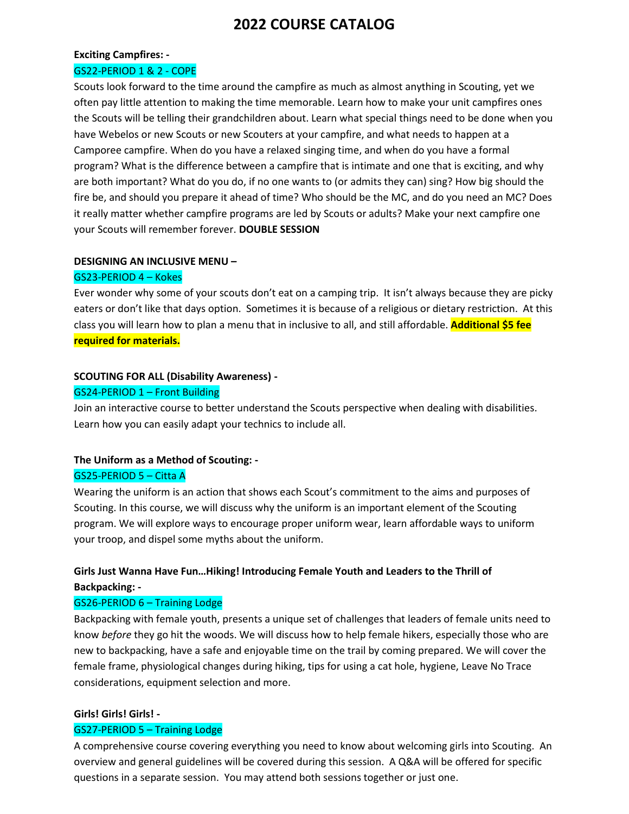# **Exciting Campfires: -**

## GS22-PERIOD 1 & 2 - COPE

Scouts look forward to the time around the campfire as much as almost anything in Scouting, yet we often pay little attention to making the time memorable. Learn how to make your unit campfires ones the Scouts will be telling their grandchildren about. Learn what special things need to be done when you have Webelos or new Scouts or new Scouters at your campfire, and what needs to happen at a Camporee campfire. When do you have a relaxed singing time, and when do you have a formal program? What is the difference between a campfire that is intimate and one that is exciting, and why are both important? What do you do, if no one wants to (or admits they can) sing? How big should the fire be, and should you prepare it ahead of time? Who should be the MC, and do you need an MC? Does it really matter whether campfire programs are led by Scouts or adults? Make your next campfire one your Scouts will remember forever. **DOUBLE SESSION**

#### **DESIGNING AN INCLUSIVE MENU –**

#### GS23-PERIOD 4 – Kokes

Ever wonder why some of your scouts don't eat on a camping trip. It isn't always because they are picky eaters or don't like that days option. Sometimes it is because of a religious or dietary restriction. At this class you will learn how to plan a menu that in inclusive to all, and still affordable. **Additional \$5 fee required for materials.** 

### **SCOUTING FOR ALL (Disability Awareness) -**

#### GS24-PERIOD 1 – Front Building

Join an interactive course to better understand the Scouts perspective when dealing with disabilities. Learn how you can easily adapt your technics to include all.

## **The Uniform as a Method of Scouting: -** GS25-PERIOD 5 – Citta A

Wearing the uniform is an action that shows each Scout's commitment to the aims and purposes of Scouting. In this course, we will discuss why the uniform is an important element of the Scouting program. We will explore ways to encourage proper uniform wear, learn affordable ways to uniform your troop, and dispel some myths about the uniform.

## **Girls Just Wanna Have Fun…Hiking! Introducing Female Youth and Leaders to the Thrill of Backpacking: -**

#### GS26-PERIOD 6 – Training Lodge

Backpacking with female youth, presents a unique set of challenges that leaders of female units need to know *before* they go hit the woods. We will discuss how to help female hikers, especially those who are new to backpacking, have a safe and enjoyable time on the trail by coming prepared. We will cover the female frame, physiological changes during hiking, tips for using a cat hole, hygiene, Leave No Trace considerations, equipment selection and more.

#### **Girls! Girls! Girls! -**

#### GS27-PERIOD 5 – Training Lodge

A comprehensive course covering everything you need to know about welcoming girls into Scouting. An overview and general guidelines will be covered during this session. A Q&A will be offered for specific questions in a separate session. You may attend both sessions together or just one.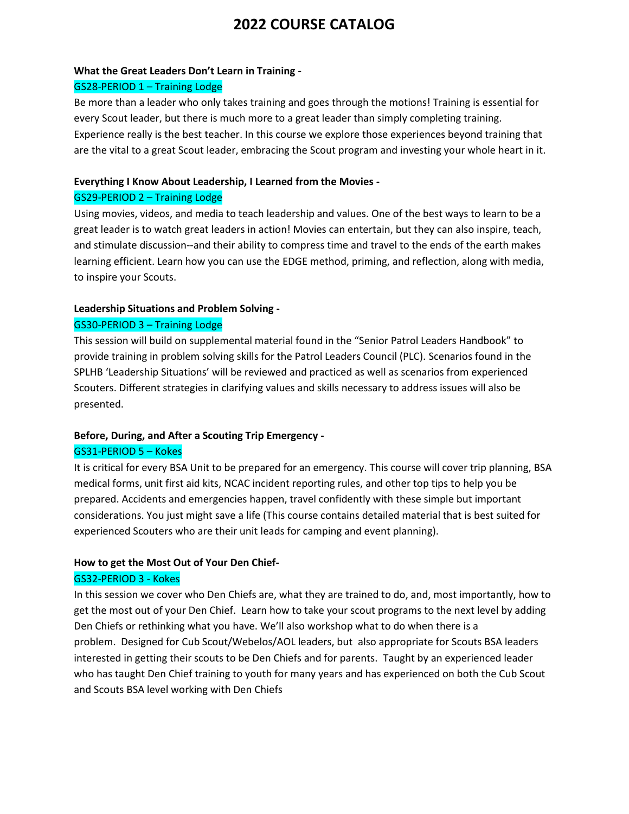#### **What the Great Leaders Don't Learn in Training -**

### GS28-PERIOD 1 – Training Lodge

Be more than a leader who only takes training and goes through the motions! Training is essential for every Scout leader, but there is much more to a great leader than simply completing training. Experience really is the best teacher. In this course we explore those experiences beyond training that are the vital to a great Scout leader, embracing the Scout program and investing your whole heart in it.

### **Everything I Know About Leadership, I Learned from the Movies -**

### GS29-PERIOD 2 – Training Lodge

Using movies, videos, and media to teach leadership and values. One of the best ways to learn to be a great leader is to watch great leaders in action! Movies can entertain, but they can also inspire, teach, and stimulate discussion--and their ability to compress time and travel to the ends of the earth makes learning efficient. Learn how you can use the EDGE method, priming, and reflection, along with media, to inspire your Scouts.

### **Leadership Situations and Problem Solving -**

## GS30-PERIOD 3 – Training Lodge

This session will build on supplemental material found in the "Senior Patrol Leaders Handbook" to provide training in problem solving skills for the Patrol Leaders Council (PLC). Scenarios found in the SPLHB 'Leadership Situations' will be reviewed and practiced as well as scenarios from experienced Scouters. Different strategies in clarifying values and skills necessary to address issues will also be presented.

## **Before, During, and After a Scouting Trip Emergency -**

## GS31-PERIOD 5 – Kokes

It is critical for every BSA Unit to be prepared for an emergency. This course will cover trip planning, BSA medical forms, unit first aid kits, NCAC incident reporting rules, and other top tips to help you be prepared. Accidents and emergencies happen, travel confidently with these simple but important considerations. You just might save a life (This course contains detailed material that is best suited for experienced Scouters who are their unit leads for camping and event planning).

## **How to get the Most Out of Your Den Chief-**

## GS32-PERIOD 3 - Kokes

In this session we cover who Den Chiefs are, what they are trained to do, and, most importantly, how to get the most out of your Den Chief. Learn how to take your scout programs to the next level by adding Den Chiefs or rethinking what you have. We'll also workshop what to do when there is a problem. Designed for Cub Scout/Webelos/AOL leaders, but also appropriate for Scouts BSA leaders interested in getting their scouts to be Den Chiefs and for parents. Taught by an experienced leader who has taught Den Chief training to youth for many years and has experienced on both the Cub Scout and Scouts BSA level working with Den Chiefs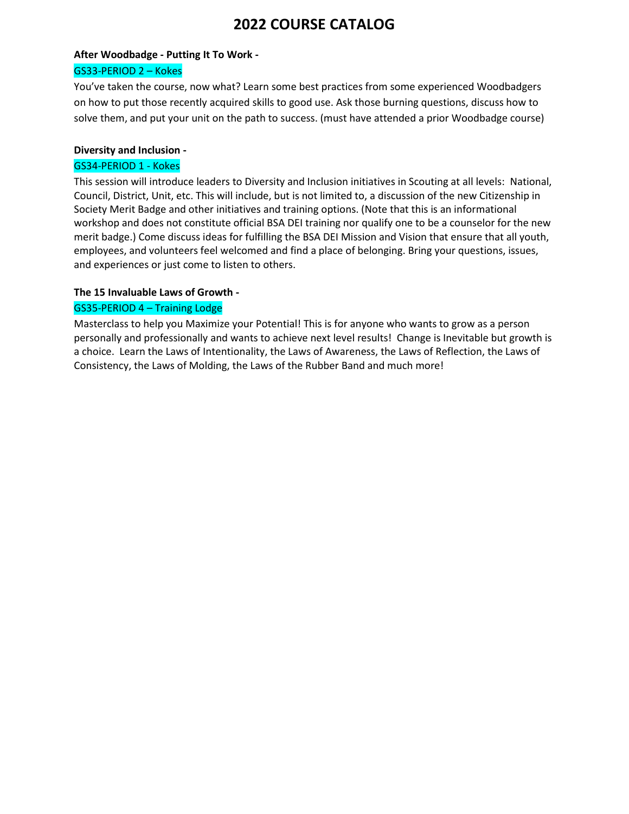# **After Woodbadge - Putting It To Work -**

## GS33-PERIOD 2 – Kokes

You've taken the course, now what? Learn some best practices from some experienced Woodbadgers on how to put those recently acquired skills to good use. Ask those burning questions, discuss how to solve them, and put your unit on the path to success. (must have attended a prior Woodbadge course)

## **Diversity and Inclusion -**

## GS34-PERIOD 1 - Kokes

This session will introduce leaders to Diversity and Inclusion initiatives in Scouting at all levels: National, Council, District, Unit, etc. This will include, but is not limited to, a discussion of the new Citizenship in Society Merit Badge and other initiatives and training options. (Note that this is an informational workshop and does not constitute official BSA DEI training nor qualify one to be a counselor for the new merit badge.) Come discuss ideas for fulfilling the BSA DEI Mission and Vision that ensure that all youth, employees, and volunteers feel welcomed and find a place of belonging. Bring your questions, issues, and experiences or just come to listen to others.

## **The 15 Invaluable Laws of Growth -**

## GS35-PERIOD 4 – Training Lodge

Masterclass to help you Maximize your Potential! This is for anyone who wants to grow as a person personally and professionally and wants to achieve next level results! Change is Inevitable but growth is a choice. Learn the Laws of Intentionality, the Laws of Awareness, the Laws of Reflection, the Laws of Consistency, the Laws of Molding, the Laws of the Rubber Band and much more!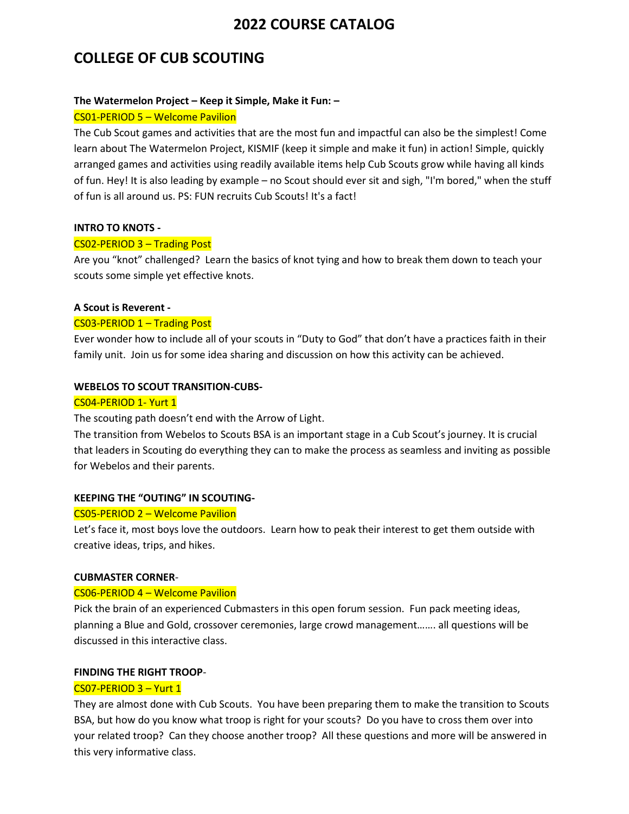## **COLLEGE OF CUB SCOUTING**

### **The Watermelon Project – Keep it Simple, Make it Fun: –**

#### CS01-PERIOD 5 – Welcome Pavilion

The Cub Scout games and activities that are the most fun and impactful can also be the simplest! Come learn about The Watermelon Project, KISMIF (keep it simple and make it fun) in action! Simple, quickly arranged games and activities using readily available items help Cub Scouts grow while having all kinds of fun. Hey! It is also leading by example – no Scout should ever sit and sigh, "I'm bored," when the stuff of fun is all around us. PS: FUN recruits Cub Scouts! It's a fact!

### **INTRO TO KNOTS -**

### CS02-PERIOD 3 – Trading Post

Are you "knot" challenged? Learn the basics of knot tying and how to break them down to teach your scouts some simple yet effective knots.

### **A Scout is Reverent -**

### CS03-PERIOD 1 – Trading Post

Ever wonder how to include all of your scouts in "Duty to God" that don't have a practices faith in their family unit. Join us for some idea sharing and discussion on how this activity can be achieved.

### **WEBELOS TO SCOUT TRANSITION-CUBS-**

#### CS04-PERIOD 1- Yurt 1

The scouting path doesn't end with the Arrow of Light.

The transition from Webelos to Scouts BSA is an important stage in a Cub Scout's journey. It is crucial that leaders in Scouting do everything they can to make the process as seamless and inviting as possible for Webelos and their parents.

#### **KEEPING THE "OUTING" IN SCOUTING-**

#### CS05-PERIOD 2 – Welcome Pavilion

Let's face it, most boys love the outdoors. Learn how to peak their interest to get them outside with creative ideas, trips, and hikes.

#### **CUBMASTER CORNER***-*

#### CS06-PERIOD 4 – Welcome Pavilion

Pick the brain of an experienced Cubmasters in this open forum session. Fun pack meeting ideas, planning a Blue and Gold, crossover ceremonies, large crowd management……. all questions will be discussed in this interactive class.

### **FINDING THE RIGHT TROOP***-*

#### CS07-PERIOD 3 – Yurt 1

They are almost done with Cub Scouts. You have been preparing them to make the transition to Scouts BSA, but how do you know what troop is right for your scouts? Do you have to cross them over into your related troop? Can they choose another troop? All these questions and more will be answered in this very informative class.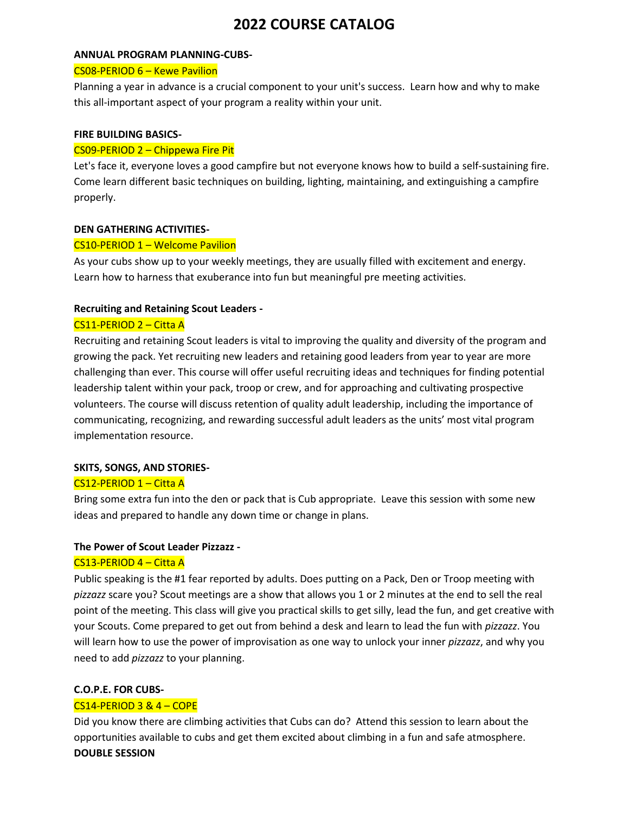#### **ANNUAL PROGRAM PLANNING-CUBS-**

#### CS08-PERIOD 6 – Kewe Pavilion

Planning a year in advance is a crucial component to your unit's success. Learn how and why to make this all-important aspect of your program a reality within your unit.

#### **FIRE BUILDING BASICS-**

#### CS09-PERIOD 2 – Chippewa Fire Pit

Let's face it, everyone loves a good campfire but not everyone knows how to build a self-sustaining fire. Come learn different basic techniques on building, lighting, maintaining, and extinguishing a campfire properly.

#### **DEN GATHERING ACTIVITIES-**

#### CS10-PERIOD 1 – Welcome Pavilion

As your cubs show up to your weekly meetings, they are usually filled with excitement and energy. Learn how to harness that exuberance into fun but meaningful pre meeting activities.

#### **Recruiting and Retaining Scout Leaders -**

#### CS11-PERIOD 2 – Citta A

Recruiting and retaining Scout leaders is vital to improving the quality and diversity of the program and growing the pack. Yet recruiting new leaders and retaining good leaders from year to year are more challenging than ever. This course will offer useful recruiting ideas and techniques for finding potential leadership talent within your pack, troop or crew, and for approaching and cultivating prospective volunteers. The course will discuss retention of quality adult leadership, including the importance of communicating, recognizing, and rewarding successful adult leaders as the units' most vital program implementation resource.

#### **SKITS, SONGS, AND STORIES-**

### CS12-PERIOD 1 – Citta A

Bring some extra fun into the den or pack that is Cub appropriate. Leave this session with some new ideas and prepared to handle any down time or change in plans.

#### **The Power of Scout Leader Pizzazz -**

#### CS13-PERIOD 4 – Citta A

Public speaking is the #1 fear reported by adults. Does putting on a Pack, Den or Troop meeting with *pizzazz* scare you? Scout meetings are a show that allows you 1 or 2 minutes at the end to sell the real point of the meeting. This class will give you practical skills to get silly, lead the fun, and get creative with your Scouts. Come prepared to get out from behind a desk and learn to lead the fun with *pizzazz*. You will learn how to use the power of improvisation as one way to unlock your inner *pizzazz*, and why you need to add *pizzazz* to your planning.

#### **C.O.P.E. FOR CUBS-**

#### CS14-PERIOD 3 & 4 – COPE

Did you know there are climbing activities that Cubs can do? Attend this session to learn about the opportunities available to cubs and get them excited about climbing in a fun and safe atmosphere. **DOUBLE SESSION**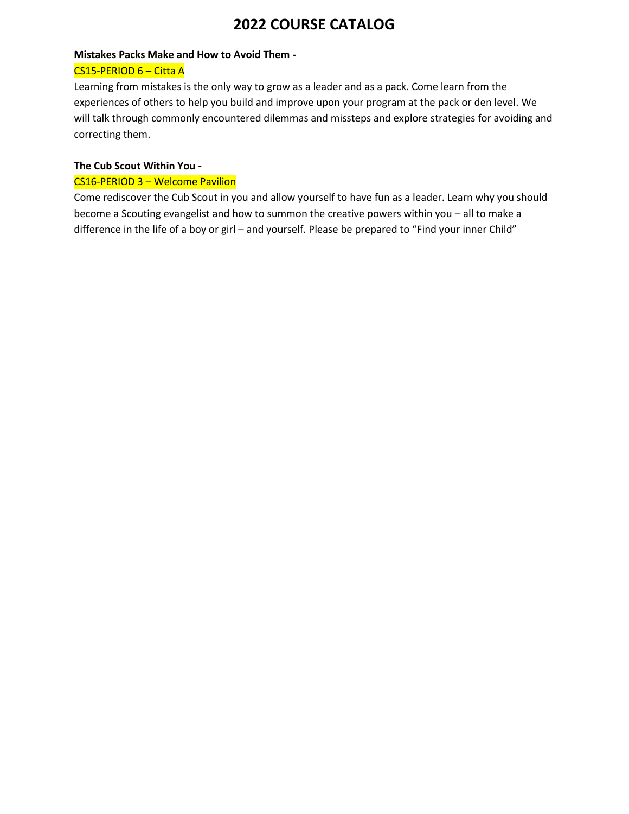### **Mistakes Packs Make and How to Avoid Them -**

## CS15-PERIOD 6 – Citta A

Learning from mistakes is the only way to grow as a leader and as a pack. Come learn from the experiences of others to help you build and improve upon your program at the pack or den level. We will talk through commonly encountered dilemmas and missteps and explore strategies for avoiding and correcting them.

## **The Cub Scout Within You -**

## CS16-PERIOD 3 – Welcome Pavilion

Come rediscover the Cub Scout in you and allow yourself to have fun as a leader. Learn why you should become a Scouting evangelist and how to summon the creative powers within you – all to make a difference in the life of a boy or girl - and yourself. Please be prepared to "Find your inner Child"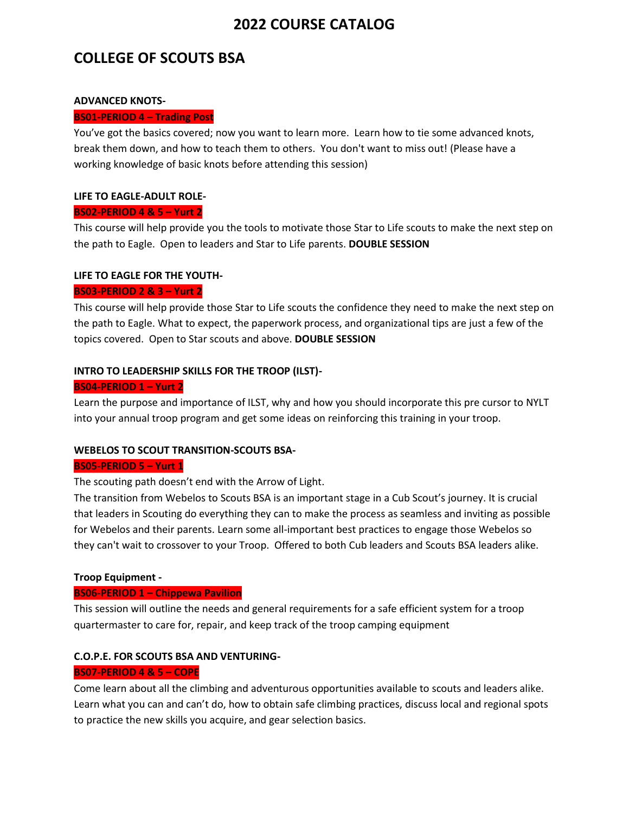## **COLLEGE OF SCOUTS BSA**

#### **ADVANCED KNOTS-**

### **BS01-PERIOD 4 – Trading Post**

You've got the basics covered; now you want to learn more. Learn how to tie some advanced knots, break them down, and how to teach them to others. You don't want to miss out! (Please have a working knowledge of basic knots before attending this session)

### **LIFE TO EAGLE-ADULT ROLE-**

### **BS02-PERIOD 4 & 5 – Yurt 2**

This course will help provide you the tools to motivate those Star to Life scouts to make the next step on the path to Eagle. Open to leaders and Star to Life parents. **DOUBLE SESSION**

### **LIFE TO EAGLE FOR THE YOUTH-**

### **BS03-PERIOD 2 & 3 – Yurt 2**

This course will help provide those Star to Life scouts the confidence they need to make the next step on the path to Eagle. What to expect, the paperwork process, and organizational tips are just a few of the topics covered. Open to Star scouts and above. **DOUBLE SESSION**

## **INTRO TO LEADERSHIP SKILLS FOR THE TROOP (ILST)-**

### **BS04-PERIOD 1 – Yurt 2**

Learn the purpose and importance of ILST, why and how you should incorporate this pre cursor to NYLT into your annual troop program and get some ideas on reinforcing this training in your troop.

## **WEBELOS TO SCOUT TRANSITION-SCOUTS BSA-**

#### **BS05-PERIOD 5 – Yurt 1**

The scouting path doesn't end with the Arrow of Light.

The transition from Webelos to Scouts BSA is an important stage in a Cub Scout's journey. It is crucial that leaders in Scouting do everything they can to make the process as seamless and inviting as possible for Webelos and their parents. Learn some all-important best practices to engage those Webelos so they can't wait to crossover to your Troop. Offered to both Cub leaders and Scouts BSA leaders alike.

## **Troop Equipment -**

## **BS06-PERIOD 1 – Chippewa Pavilion**

This session will outline the needs and general requirements for a safe efficient system for a troop quartermaster to care for, repair, and keep track of the troop camping equipment

## **C.O.P.E. FOR SCOUTS BSA AND VENTURING-**

#### **BS07-PERIOD 4 & 5 – COPE**

Come learn about all the climbing and adventurous opportunities available to scouts and leaders alike. Learn what you can and can't do, how to obtain safe climbing practices, discuss local and regional spots to practice the new skills you acquire, and gear selection basics.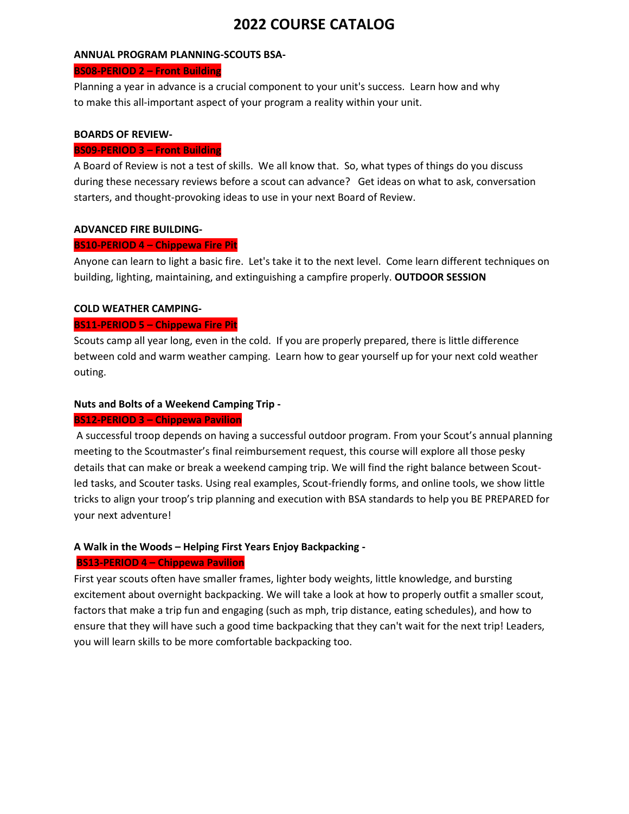#### **ANNUAL PROGRAM PLANNING-SCOUTS BSA-**

#### **BS08-PERIOD 2 – Front Building**

Planning a year in advance is a crucial component to your unit's success. Learn how and why to make this all-important aspect of your program a reality within your unit.

### **BOARDS OF REVIEW-**

#### **BS09-PERIOD 3 – Front Building**

A Board of Review is not a test of skills. We all know that. So, what types of things do you discuss during these necessary reviews before a scout can advance? Get ideas on what to ask, conversation starters, and thought-provoking ideas to use in your next Board of Review.

#### **ADVANCED FIRE BUILDING-**

### **BS10-PERIOD 4 – Chippewa Fire Pit**

Anyone can learn to light a basic fire. Let's take it to the next level. Come learn different techniques on building, lighting, maintaining, and extinguishing a campfire properly. **OUTDOOR SESSION**

### **COLD WEATHER CAMPING-**

### **BS11-PERIOD 5 – Chippewa Fire Pit**

Scouts camp all year long, even in the cold. If you are properly prepared, there is little difference between cold and warm weather camping. Learn how to gear yourself up for your next cold weather outing.

## **Nuts and Bolts of a Weekend Camping Trip -**

#### **BS12-PERIOD 3 – Chippewa Pavilion**

A successful troop depends on having a successful outdoor program. From your Scout's annual planning meeting to the Scoutmaster's final reimbursement request, this course will explore all those pesky details that can make or break a weekend camping trip. We will find the right balance between Scoutled tasks, and Scouter tasks. Using real examples, Scout-friendly forms, and online tools, we show little tricks to align your troop's trip planning and execution with BSA standards to help you BE PREPARED for your next adventure!

## **A Walk in the Woods – Helping First Years Enjoy Backpacking -**

## **BS13-PERIOD 4 – Chippewa Pavilion**

First year scouts often have smaller frames, lighter body weights, little knowledge, and bursting excitement about overnight backpacking. We will take a look at how to properly outfit a smaller scout, factors that make a trip fun and engaging (such as mph, trip distance, eating schedules), and how to ensure that they will have such a good time backpacking that they can't wait for the next trip! Leaders, you will learn skills to be more comfortable backpacking too.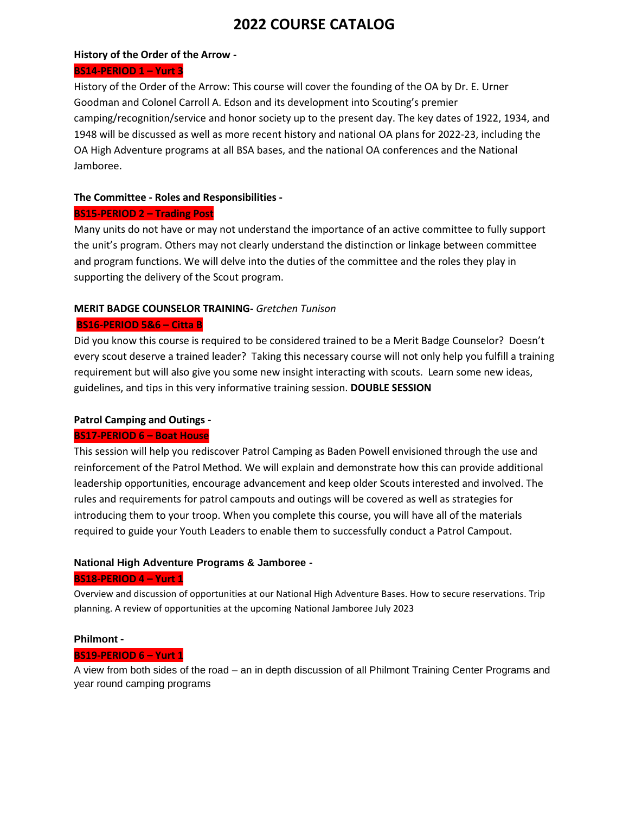### **History of the Order of the Arrow -**

### **BS14-PERIOD 1 – Yurt 3**

History of the Order of the Arrow: This course will cover the founding of the OA by Dr. E. Urner Goodman and Colonel Carroll A. Edson and its development into Scouting's premier camping/recognition/service and honor society up to the present day. The key dates of 1922, 1934, and 1948 will be discussed as well as more recent history and national OA plans for 2022-23, including the OA High Adventure programs at all BSA bases, and the national OA conferences and the National Jamboree.

## **The Committee - Roles and Responsibilities -**

## **BS15-PERIOD 2 – Trading Post**

Many units do not have or may not understand the importance of an active committee to fully support the unit's program. Others may not clearly understand the distinction or linkage between committee and program functions. We will delve into the duties of the committee and the roles they play in supporting the delivery of the Scout program.

## **MERIT BADGE COUNSELOR TRAINING-** *Gretchen Tunison*

## **BS16-PERIOD 5&6 – Citta B**

Did you know this course is required to be considered trained to be a Merit Badge Counselor? Doesn't every scout deserve a trained leader? Taking this necessary course will not only help you fulfill a training requirement but will also give you some new insight interacting with scouts. Learn some new ideas, guidelines, and tips in this very informative training session. **DOUBLE SESSION**

## **Patrol Camping and Outings -**

## **BS17-PERIOD 6 – Boat House**

This session will help you rediscover Patrol Camping as Baden Powell envisioned through the use and reinforcement of the Patrol Method. We will explain and demonstrate how this can provide additional leadership opportunities, encourage advancement and keep older Scouts interested and involved. The rules and requirements for patrol campouts and outings will be covered as well as strategies for introducing them to your troop. When you complete this course, you will have all of the materials required to guide your Youth Leaders to enable them to successfully conduct a Patrol Campout.

## **National High Adventure Programs & Jamboree -**

## **BS18-PERIOD 4 – Yurt 1**

Overview and discussion of opportunities at our National High Adventure Bases. How to secure reservations. Trip planning. A review of opportunities at the upcoming National Jamboree July 2023

## **Philmont -**

## **BS19-PERIOD 6 – Yurt 1**

A view from both sides of the road – an in depth discussion of all Philmont Training Center Programs and year round camping programs